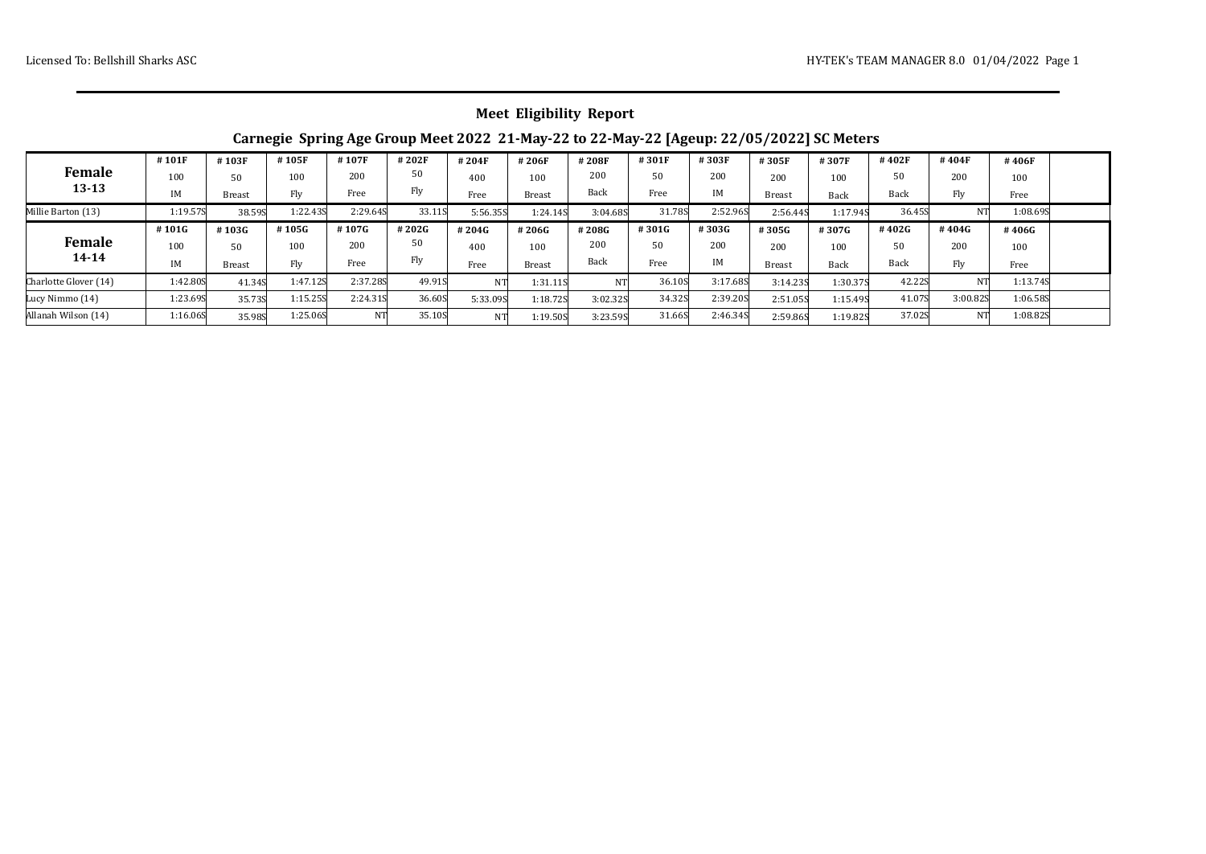|  | <b>Meet Eligibility Report</b> |  |
|--|--------------------------------|--|
|--|--------------------------------|--|

## **Carnegie Spring Age Group Meet 2022 21-May-22 to 22-May-22 [Ageup: 22/05/2022] SC Meters**

|                       | #101F    | #103F         | #105F    | #107F    | #202F  | #204F     | #206F         | #208F    | #301F  | #303F    | #305F         | #307F    | #402F       | #404F    | #406F    |  |
|-----------------------|----------|---------------|----------|----------|--------|-----------|---------------|----------|--------|----------|---------------|----------|-------------|----------|----------|--|
| <b>Female</b>         | 100      | 50            | 100      | 200      | 50     | 400       | 100           | 200      | 50     | 200      | 200           | 100      | 50          | 200      | 100      |  |
| $13 - 13$             | IM       | <b>Breast</b> | Fly      | Free     | Fly    | Free      | <b>Breast</b> | Back     | Free   | IM       | <b>Breast</b> | Back     | <b>Back</b> | Fly      | Free     |  |
| Millie Barton (13)    | 1:19.57S | 38.59S        | 1:22.435 | 2:29.645 | 33.11S | 5:56.35S  | 1:24.14S      | 3:04.68S | 31.789 | 2:52.96S | 2:56.445      | 1:17.94S | 36.45S      | NΤ       | 1:08.695 |  |
|                       | #101G    | #103G         | #105G    | #107G    | #202G  | #204G     | #206G         | #208G    | #301G  | #303G    | #305G         | #307G    | #402G       | #404G    | #406G    |  |
| <b>Female</b>         | 100      | 50            | 100      | 200      | 50     | 400       | 100           | 200      | 50     | 200      | 200           | 100      | 50          | 200      | 100      |  |
| $14 - 14$             | IM       | Breast        | Fly      | Free     | Fly    | Free      | <b>Breast</b> | Back     | Free   | IΜ       | <b>Breast</b> | Back     | <b>Back</b> | Fly      | Free     |  |
| Charlotte Glover (14) | 1:42.80S | 41.34S        | 1:47.12S | 2:37.285 | 49.91S | NT        | 1:31.115      |          | 36.10S | 3:17.68S | 3:14.235      | 1:30.37S | 42.22S      | NΤ       | 1:13.748 |  |
| Lucy Nimmo (14)       | 1:23.695 | 35.73S        | 1:15.25S | 2:24.315 | 36.60S | 5:33.09S  | 1:18.725      | 3:02.32S | 34.32S | 2:39.205 | 2:51.05S      | 1:15.49S | 41.07S      | 3:00.82S | 1:06.58S |  |
| Allanah Wilson (14)   | 1:16.06S | 35.98S        | 1:25.06S | NT       | 35.10S | <b>NT</b> | 1:19.50S      | 3:23.59S | 31.66S | 2:46.345 | 2:59.86S      | 1:19.82S | 37.02S      | NT       | 1:08.825 |  |